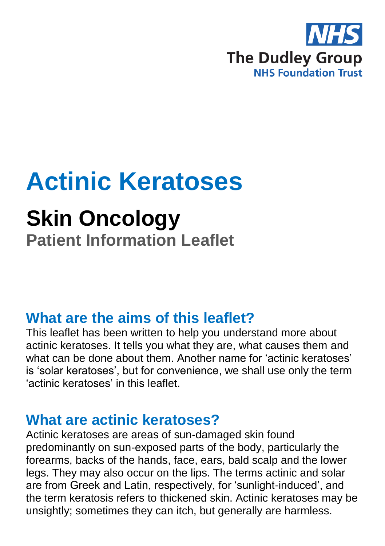

# **Actinic Keratoses**

# **Skin Oncology**

**Patient Information Leaflet**

### **What are the aims of this leaflet?**

This leaflet has been written to help you understand more about actinic keratoses. It tells you what they are, what causes them and what can be done about them. Another name for 'actinic keratoses' is 'solar keratoses', but for convenience, we shall use only the term 'actinic keratoses' in this leaflet.

#### **What are actinic keratoses?**

Actinic keratoses are areas of sun-damaged skin found predominantly on sun-exposed parts of the body, particularly the forearms, backs of the hands, face, ears, bald scalp and the lower legs. They may also occur on the lips. The terms actinic and solar are from Greek and Latin, respectively, for 'sunlight-induced', and the term keratosis refers to thickened skin. Actinic keratoses may be unsightly; sometimes they can itch, but generally are harmless.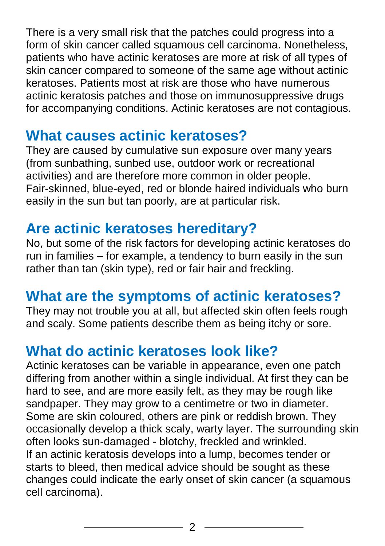There is a very small risk that the patches could progress into a form of skin cancer called squamous cell carcinoma. Nonetheless, patients who have actinic keratoses are more at risk of all types of skin cancer compared to someone of the same age without actinic keratoses. Patients most at risk are those who have numerous actinic keratosis patches and those on immunosuppressive drugs for accompanying conditions. Actinic keratoses are not contagious.

#### **What causes actinic keratoses?**

They are caused by cumulative sun exposure over many years (from sunbathing, sunbed use, outdoor work or recreational activities) and are therefore more common in older people. Fair-skinned, blue-eyed, red or blonde haired individuals who burn easily in the sun but tan poorly, are at particular risk.

# **Are actinic keratoses hereditary?**

No, but some of the risk factors for developing actinic keratoses do run in families – for example, a tendency to burn easily in the sun rather than tan (skin type), red or fair hair and freckling.

# **What are the symptoms of actinic keratoses?**

They may not trouble you at all, but affected skin often feels rough and scaly. Some patients describe them as being itchy or sore.

# **What do actinic keratoses look like?**

Actinic keratoses can be variable in appearance, even one patch differing from another within a single individual. At first they can be hard to see, and are more easily felt, as they may be rough like sandpaper. They may grow to a centimetre or two in diameter. Some are skin coloured, others are pink or reddish brown. They occasionally develop a thick scaly, warty layer. The surrounding skin often looks sun-damaged - blotchy, freckled and wrinkled. If an actinic keratosis develops into a lump, becomes tender or starts to bleed, then medical advice should be sought as these changes could indicate the early onset of skin cancer (a squamous cell carcinoma).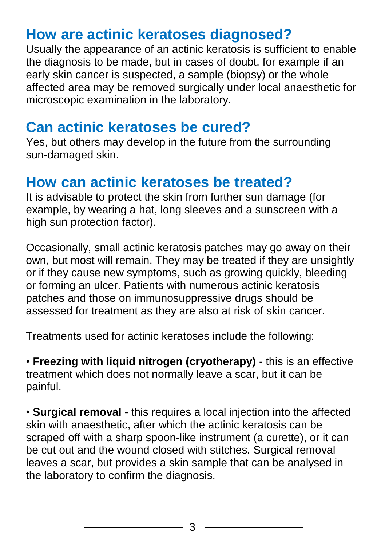## **How are actinic keratoses diagnosed?**

Usually the appearance of an actinic keratosis is sufficient to enable the diagnosis to be made, but in cases of doubt, for example if an early skin cancer is suspected, a sample (biopsy) or the whole affected area may be removed surgically under local anaesthetic for microscopic examination in the laboratory.

#### **Can actinic keratoses be cured?**

Yes, but others may develop in the future from the surrounding sun-damaged skin.

#### **How can actinic keratoses be treated?**

It is advisable to protect the skin from further sun damage (for example, by wearing a hat, long sleeves and a sunscreen with a high sun protection factor).

Occasionally, small actinic keratosis patches may go away on their own, but most will remain. They may be treated if they are unsightly or if they cause new symptoms, such as growing quickly, bleeding or forming an ulcer. Patients with numerous actinic keratosis patches and those on immunosuppressive drugs should be assessed for treatment as they are also at risk of skin cancer.

Treatments used for actinic keratoses include the following:

• **Freezing with liquid nitrogen (cryotherapy)** - this is an effective treatment which does not normally leave a scar, but it can be painful.

• **Surgical removal** - this requires a local injection into the affected skin with anaesthetic, after which the actinic keratosis can be scraped off with a sharp spoon-like instrument (a curette), or it can be cut out and the wound closed with stitches. Surgical removal leaves a scar, but provides a skin sample that can be analysed in the laboratory to confirm the diagnosis.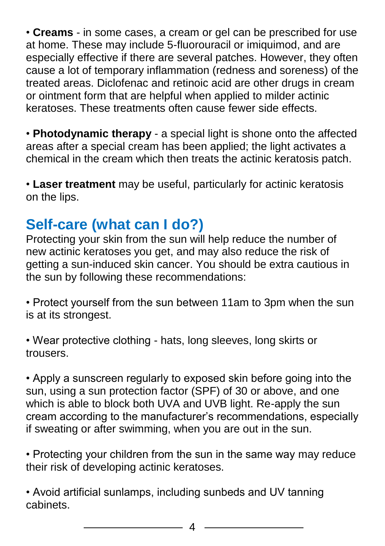• **Creams** - in some cases, a cream or gel can be prescribed for use at home. These may include 5-fluorouracil or imiquimod, and are especially effective if there are several patches. However, they often cause a lot of temporary inflammation (redness and soreness) of the treated areas. Diclofenac and retinoic acid are other drugs in cream or ointment form that are helpful when applied to milder actinic keratoses. These treatments often cause fewer side effects.

• **Photodynamic therapy** - a special light is shone onto the affected areas after a special cream has been applied; the light activates a chemical in the cream which then treats the actinic keratosis patch.

• **Laser treatment** may be useful, particularly for actinic keratosis on the lips.

# **Self-care (what can I do?)**

Protecting your skin from the sun will help reduce the number of new actinic keratoses you get, and may also reduce the risk of getting a sun-induced skin cancer. You should be extra cautious in the sun by following these recommendations:

• Protect yourself from the sun between 11am to 3pm when the sun is at its strongest.

• Wear protective clothing - hats, long sleeves, long skirts or trousers.

• Apply a sunscreen regularly to exposed skin before going into the sun, using a sun protection factor (SPF) of 30 or above, and one which is able to block both UVA and UVB light. Re-apply the sun cream according to the manufacturer's recommendations, especially if sweating or after swimming, when you are out in the sun.

• Protecting your children from the sun in the same way may reduce their risk of developing actinic keratoses.

• Avoid artificial sunlamps, including sunbeds and UV tanning cabinets.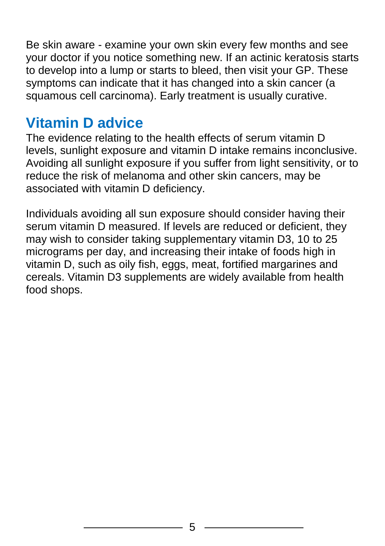Be skin aware - examine your own skin every few months and see your doctor if you notice something new. If an actinic keratosis starts to develop into a lump or starts to bleed, then visit your GP. These symptoms can indicate that it has changed into a skin cancer (a squamous cell carcinoma). Early treatment is usually curative.

### **Vitamin D advice**

The evidence relating to the health effects of serum vitamin D levels, sunlight exposure and vitamin D intake remains inconclusive. Avoiding all sunlight exposure if you suffer from light sensitivity, or to reduce the risk of melanoma and other skin cancers, may be associated with vitamin D deficiency.

Individuals avoiding all sun exposure should consider having their serum vitamin D measured. If levels are reduced or deficient, they may wish to consider taking supplementary vitamin D3, 10 to 25 micrograms per day, and increasing their intake of foods high in vitamin D, such as oily fish, eggs, meat, fortified margarines and cereals. Vitamin D3 supplements are widely available from health food shops.